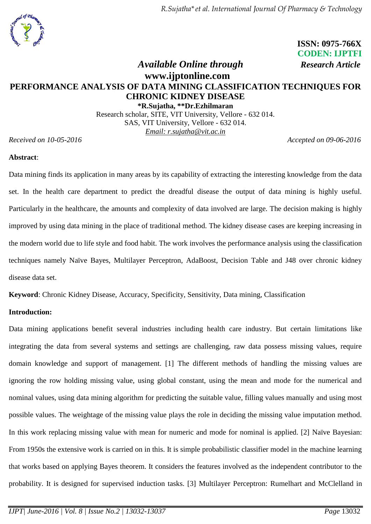## **ISSN: 0975-766X CODEN: IJPTFI**  *Available Online through Research Article*

# **www.ijptonline.com PERFORMANCE ANALYSIS OF DATA MINING CLASSIFICATION TECHNIQUES FOR CHRONIC KIDNEY DISEASE**

**\*R.Sujatha, \*\*Dr.Ezhilmaran** Research scholar, SITE, VIT University, Vellore - 632 014. SAS, VIT University, Vellore - 632 014. *Email: r.sujatha@vit.ac.in*

*Received on 10-05-2016 Accepted on 09-06-2016* 

#### **Abstract**:

Data mining finds its application in many areas by its capability of extracting the interesting knowledge from the data set. In the health care department to predict the dreadful disease the output of data mining is highly useful. Particularly in the healthcare, the amounts and complexity of data involved are large. The decision making is highly improved by using data mining in the place of traditional method. The kidney disease cases are keeping increasing in the modern world due to life style and food habit. The work involves the performance analysis using the classification techniques namely Naïve Bayes, Multilayer Perceptron, AdaBoost, Decision Table and J48 over chronic kidney disease data set.

**Keyword**: Chronic Kidney Disease, Accuracy, Specificity, Sensitivity, Data mining, Classification

#### **Introduction:**

Data mining applications benefit several industries including health care industry. But certain limitations like integrating the data from several systems and settings are challenging, raw data possess missing values, require domain knowledge and support of management. [1] The different methods of handling the missing values are ignoring the row holding missing value, using global constant, using the mean and mode for the numerical and nominal values, using data mining algorithm for predicting the suitable value, filling values manually and using most possible values. The weightage of the missing value plays the role in deciding the missing value imputation method. In this work replacing missing value with mean for numeric and mode for nominal is applied. [2] Naïve Bayesian: From 1950s the extensive work is carried on in this. It is simple probabilistic classifier model in the machine learning that works based on applying Bayes theorem. It considers the features involved as the independent contributor to the probability. It is designed for supervised induction tasks. [3] Multilayer Perceptron: Rumelhart and McClelland in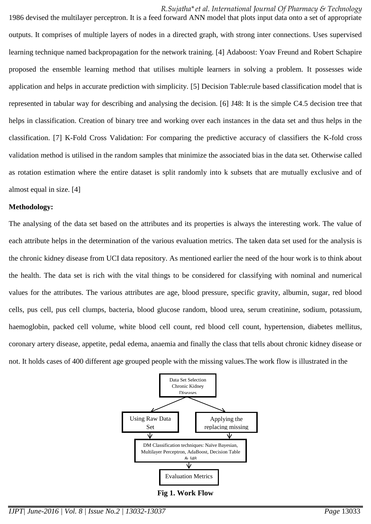*R.Sujatha\*et al. International Journal Of Pharmacy & Technology*

1986 devised the multilayer perceptron. It is a feed forward ANN model that plots input data onto a set of appropriate outputs. It comprises of multiple layers of nodes in a directed graph, with strong inter connections. Uses supervised learning technique named backpropagation for the network training. [4] Adaboost: Yoav Freund and Robert Schapire proposed the ensemble learning method that utilises multiple learners in solving a problem. It possesses wide application and helps in accurate prediction with simplicity. [5] Decision Table:rule based classification model that is represented in tabular way for describing and analysing the decision. [6] J48: It is the simple C4.5 decision tree that helps in classification. Creation of binary tree and working over each instances in the data set and thus helps in the classification. [7] K-Fold Cross Validation: For comparing the predictive accuracy of classifiers the K-fold cross validation method is utilised in the random samples that minimize the associated bias in the data set. Otherwise called as rotation estimation where the entire dataset is split randomly into k subsets that are mutually exclusive and of almost equal in size. [4]

#### **Methodology:**

The analysing of the data set based on the attributes and its properties is always the interesting work. The value of each attribute helps in the determination of the various evaluation metrics. The taken data set used for the analysis is the chronic kidney disease from UCI data repository. As mentioned earlier the need of the hour work is to think about the health. The data set is rich with the vital things to be considered for classifying with nominal and numerical values for the attributes. The various attributes are age, blood pressure, specific gravity, albumin, sugar, red blood cells, pus cell, pus cell clumps, bacteria, blood glucose random, blood urea, serum creatinine, sodium, potassium, haemoglobin, packed cell volume, white blood cell count, red blood cell count, hypertension, diabetes mellitus, coronary artery disease, appetite, pedal edema, anaemia and finally the class that tells about chronic kidney disease or not. It holds cases of 400 different age grouped people with the missing values.The work flow is illustrated in the



**Fig 1. Work Flow**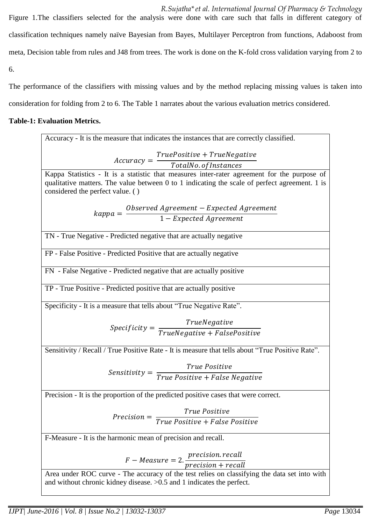*R.Sujatha\*et al. International Journal Of Pharmacy & Technology* Figure 1.The classifiers selected for the analysis were done with care such that falls in different category of classification techniques namely naïve Bayesian from Bayes, Multilayer Perceptron from functions, Adaboost from meta, Decision table from rules and J48 from trees. The work is done on the K-fold cross validation varying from 2 to 6.

The performance of the classifiers with missing values and by the method replacing missing values is taken into consideration for folding from 2 to 6. The Table 1 narrates about the various evaluation metrics considered.

# **Table-1: Evaluation Metrics.**

| Accuracy - It is the measure that indicates the instances that are correctly classified.         |  |  |  |  |  |  |  |  |  |  |
|--------------------------------------------------------------------------------------------------|--|--|--|--|--|--|--|--|--|--|
|                                                                                                  |  |  |  |  |  |  |  |  |  |  |
| $Accuracy = \frac{TruePositive + TrueNegative}{TotalNo. of instances}$                           |  |  |  |  |  |  |  |  |  |  |
|                                                                                                  |  |  |  |  |  |  |  |  |  |  |
| Kappa Statistics - It is a statistic that measures inter-rater agreement for the purpose of      |  |  |  |  |  |  |  |  |  |  |
| qualitative matters. The value between 0 to 1 indicating the scale of perfect agreement. 1 is    |  |  |  |  |  |  |  |  |  |  |
| considered the perfect value. ()                                                                 |  |  |  |  |  |  |  |  |  |  |
|                                                                                                  |  |  |  |  |  |  |  |  |  |  |
| $\kappa$ appa = $\frac{Observed\ Agreement - Expected\ Agreement}{1-Expected\ Agreement}$        |  |  |  |  |  |  |  |  |  |  |
|                                                                                                  |  |  |  |  |  |  |  |  |  |  |
| TN - True Negative - Predicted negative that are actually negative                               |  |  |  |  |  |  |  |  |  |  |
|                                                                                                  |  |  |  |  |  |  |  |  |  |  |
| FP - False Positive - Predicted Positive that are actually negative                              |  |  |  |  |  |  |  |  |  |  |
| FN - False Negative - Predicted negative that are actually positive                              |  |  |  |  |  |  |  |  |  |  |
|                                                                                                  |  |  |  |  |  |  |  |  |  |  |
| TP - True Positive - Predicted positive that are actually positive                               |  |  |  |  |  |  |  |  |  |  |
|                                                                                                  |  |  |  |  |  |  |  |  |  |  |
| Specificity - It is a measure that tells about "True Negative Rate".                             |  |  |  |  |  |  |  |  |  |  |
|                                                                                                  |  |  |  |  |  |  |  |  |  |  |
| $Specificity = \frac{TrueNegative}{TrueNegative + FalsePositive}$                                |  |  |  |  |  |  |  |  |  |  |
|                                                                                                  |  |  |  |  |  |  |  |  |  |  |
|                                                                                                  |  |  |  |  |  |  |  |  |  |  |
| Sensitivity / Recall / True Positive Rate - It is measure that tells about "True Positive Rate". |  |  |  |  |  |  |  |  |  |  |
|                                                                                                  |  |  |  |  |  |  |  |  |  |  |
| $Sensitivity = \frac{True \ Positive}{True \ Positive + False \ Negative}$                       |  |  |  |  |  |  |  |  |  |  |
|                                                                                                  |  |  |  |  |  |  |  |  |  |  |
| Precision - It is the proportion of the predicted positive cases that were correct.              |  |  |  |  |  |  |  |  |  |  |
|                                                                                                  |  |  |  |  |  |  |  |  |  |  |
|                                                                                                  |  |  |  |  |  |  |  |  |  |  |
| $Precision = \frac{True \ Positive}{True \ Positive + False \ Positive}$                         |  |  |  |  |  |  |  |  |  |  |
|                                                                                                  |  |  |  |  |  |  |  |  |  |  |
| F-Measure - It is the harmonic mean of precision and recall.                                     |  |  |  |  |  |  |  |  |  |  |
|                                                                                                  |  |  |  |  |  |  |  |  |  |  |
| $F-Measure = 2.\frac{precision. recall}{precision + recall}$                                     |  |  |  |  |  |  |  |  |  |  |
|                                                                                                  |  |  |  |  |  |  |  |  |  |  |
| Area under ROC curve - The accuracy of the test relies on classifying the data set into with     |  |  |  |  |  |  |  |  |  |  |

and without chronic kidney disease. >0.5 and 1 indicates the perfect.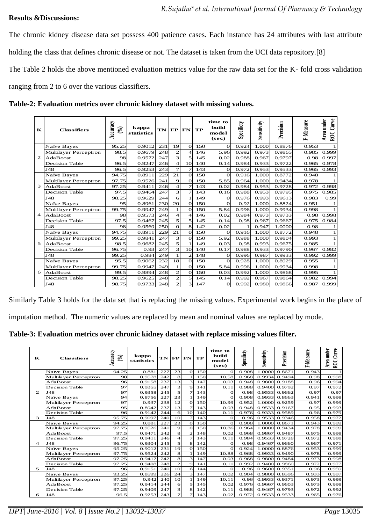#### **Results &Discussions:**

The chronic kidney disease data set possess 400 patience cases. Each instance has 24 attributes with last attribute holding the class that defines chronic disease or not. The dataset is taken from the UCI data repository.[8]

The Table 2 holds the above mentioned evaluation metrics value for the raw data set for the K- fold cross validation

ranging from 2 to 6 over the various classifiers.

| К              | <b>Classifiers</b>    | Accuracy<br>$(\%)$ | kappa<br><i>statistics</i> | TN  | FP             | FN                    | TP  | time to<br>build<br>model<br>(sec) | Specificty | Sensitivity | Precision | F-Measure | Curve<br>under<br>Area<br>$_{\rm ROC}$ |
|----------------|-----------------------|--------------------|----------------------------|-----|----------------|-----------------------|-----|------------------------------------|------------|-------------|-----------|-----------|----------------------------------------|
| $\mathfrak{D}$ | Naïve Bayes           | 95.25              | 0.9012                     | 231 | 19             | $\Omega$              | 150 | $\Omega$                           | 0.924      | 1.000       | 0.8876    | 0.953     | 1                                      |
|                | Multilayer Perceptron | 98.5               | 0.9679                     | 248 | $\overline{2}$ | $\overline{4}$        | 146 | 5.96                               | 0.992      | 0.973       | 0.9865    | 0.985     | 0.999                                  |
|                | AdaBoost              | 98                 | 0.9572                     | 247 | 3              | 5                     | 145 | 0.02                               | 0.988      | 0.967       | 0.9797    | 0.98      | 0.997                                  |
|                | Decision Table        | 96.5               | 0.9247                     | 246 | $\overline{4}$ | 10                    | 140 | 0.14                               | 0.984      | 0.933       | 0.9722    | 0.965     | 0.978                                  |
|                | J48                   | 96.5               | 0.9253                     | 243 | $\overline{7}$ | $\overline{7}$        | 143 | $\Omega$                           | 0.972      | 0.953       | 0.9533    | 0.965     | 0.993                                  |
|                | Naïve Bayes           | 94.75              | 0.8911                     | 229 | 21             | $\Omega$              | 150 | $\Omega$                           | 0.916      | 1.000       | 0.8772    | 0.948     | 1                                      |
|                | Multilayer Perceptron | 97.75              | 0.9526                     | 241 | 9              | $\Omega$              | 150 | 5.85                               | 0.964      | 1.000       | 0.9434    | 0.978     | $\mathbf{1}$                           |
| 3              | AdaBoost              | 97.25              | 0.9411                     | 246 | $\overline{4}$ | $\overline{7}$        | 143 | 0.02                               | 0.984      | 0.953       | 0.9728    | 0.972     | 0.998                                  |
|                | Decision Table        | 97.5               | 0.9464                     | 247 | 3              | $\overline{7}$        | 143 | 0.16                               | 0.988      | 0.953       | 0.9795    | 0.975     | 0.985                                  |
|                | J48                   | 98.25              | 0.9629                     | 244 | 6              | 1                     | 149 | $\Omega$                           | 0.976      | 0.993       | 0.9613    | 0.983     | 0.99                                   |
|                | Naïve Bayes           | 95                 | 0.8961                     | 230 | 20             | $\Omega$              | 150 | $\Omega$                           | 0.92       | 1.000       | 0.8824    | 0.951     | 1                                      |
|                | Multilayer Perceptron | 99.75              | 0.9947                     | 249 | 1              | $\Omega$              | 150 | 5.84                               | 0.996      | 1.000       | 0.9934    | 0.998     | $\mathbf{1}$                           |
| $\overline{a}$ | AdaBoost              | 98                 | 0.9573                     | 246 | $\overline{4}$ | $\boldsymbol{\Delta}$ | 146 | 0.02                               | 0.984      | 0.973       | 0.9733    | 0.98      | 0.998                                  |
|                | <b>Decision Table</b> | 97.5               | 0.9467                     | 245 | 5              | 5                     | 145 | 0.14                               | 0.98       | 0.967       | 0.9667    | 0.975     | 0.984                                  |
|                | <b>J48</b>            | 98                 | 0.9569                     | 250 | $\Omega$       | 8                     | 142 | 0.02                               |            | 0.947       | 1.0000    | 0.98      | 1                                      |
|                | Naïve Bayes           | 94.75              | 0.8911                     | 229 | 21             | $\Omega$              | 150 | $\Omega$                           | 0.916      | 1.000       | 0.8772    | 0.948     | 1                                      |
|                | Multilayer Perceptron | 99.25              | 0.9841                     | 247 | 3              | $\Omega$              | 150 | 5.92                               | 0.988      | 1.000       | 0.9804    | 0.993     | $\mathbf{1}$                           |
| 5              | AdaBoost              | 98.5               | 0.9682                     | 245 | 5              | $\mathbf{1}$          | 149 | 0.03                               | 0.98       | 0.993       | 0.9675    | 0.985     | $\mathbf{1}$                           |
|                | <b>Decision Table</b> | 96.75              | 0.93                       | 247 | 3              | 10                    | 140 | 0.17                               | 0.988      | 0.933       | 0.9790    | 0.967     | 0.982                                  |
|                | J48                   | 99.25              | 0.984                      | 249 | $\mathbf{1}$   | $\overline{2}$        | 148 | $\Omega$                           | 0.996      | 0.987       | 0.9933    | 0.992     | 0.999                                  |
| 6              | Naïve Bayes           | 95.5               | 0.9062                     | 232 | 18             | $\Omega$              | 150 | $\Omega$                           | 0.928      | 1.000       | 0.8929    | 0.955     | 1                                      |
|                | Multilayer Perceptron | 99.75              | 0.9947                     | 249 | 1              | $\Omega$              | 150 | 5.84                               | 0.996      | 1.000       | 0.9934    | 0.998     | $\mathbf{1}$                           |
|                | AdaBoost              | 99.5               | 0.9894                     | 248 | $\overline{2}$ | $\Omega$              | 150 | 0.03                               | 0.992      | 1.000       | 0.9868    | 0.995     | $\mathbf{1}$                           |
|                | <b>Decision Table</b> | 98.25              | 0.9625                     | 248 | $\overline{2}$ | 5                     | 145 | 0.14                               | 0.992      | 0.967       | 0.9864    | 0.982     | 0.994                                  |
|                | J48                   | 98.75              | 0.9733                     | 248 | $\overline{2}$ | 3                     | 147 | O                                  | 0.992      | 0.980       | 0.9866    | 0.987     | 0.999                                  |

**Table-2: Evaluation metrics over chronic kidney dataset with missing values.**

Similarly Table 3 holds for the data set that is replacing the missing values. Experimental work begins in the place of

imputation method. The numeric values are replaced by mean and nominal values are replaced by mode.

**Table-3: Evaluation metrics over chronic kidney dataset with replace missing values filter.**

| $\mathbf{K}$   | <b>Classifiers</b>           | Accuracy<br>$\mathcal{E}$ | kappa<br><b>statistics</b> | TN FP |                         | FN              | TP  | time to<br>build<br>model<br>(sec) | Specificty | Sensitivity | Precision       | F-Measure | ROC Curve<br>Area under |
|----------------|------------------------------|---------------------------|----------------------------|-------|-------------------------|-----------------|-----|------------------------------------|------------|-------------|-----------------|-----------|-------------------------|
|                | Naïve Bayes                  | 94.25                     | 0.881                      | 227   | 23                      | $\Omega$        | 150 | $\Omega$                           | 0.908      | 1.0000      | 0.8671          | 0.943     | $\mathbf{1}$            |
|                | Multilayer Perceptron        | 98                        | 0.9578                     | 242   | 8                       |                 | 150 | 10.58                              | 0.968      | 0.9934      | 0.9494          | 0.98      | 0.998                   |
|                | AdaBoost                     | 96                        | 0.9158                     | 237   | 13                      | 3               | 147 | 0.03                               | 0.948      | 0.9800      | 0.9188          | 0.96      | 0.994                   |
|                | <b>Decision Table</b>        | 97                        | 0.9355                     | 247   | $\overline{\mathbf{3}}$ | 9               | 141 | 0.11                               | 0.988      | 0.9400      | 0.9792          | 0.97      | 0.972                   |
| $\overline{c}$ | J48                          | 97                        | 0.9358                     | 245   | 5                       | $\overline{7}$  | 143 | $\Omega$                           | 0.98       | 0.9533      | 0.9662          | 0.97      | 0.97                    |
|                | Naïve Bayes                  | 94                        | 0.8756                     | 227   | 23                      | $\mathbf{1}$    | 149 | $\Omega$                           | 0.908      | 0.9933      | 0.8663          | 0.941     | 0.998                   |
|                | Multilayer Perceptron        | 97                        | 0.937                      | 238   | 12                      | $\Omega$        | 150 | 10.99                              | 0.952      | 1.0000      | 0.9259          | 0.97      | 0.999                   |
|                | AdaBoost                     | 95                        | 0.8942                     | 237   | 13                      | $\overline{7}$  | 143 | 0.03                               | 0.948      | 0.9533      | 0.9167          | 0.95      | 0.993                   |
|                | <b>Decision Table</b>        | 96                        | 0.9142                     | 244   | 6                       | 10 <sup>1</sup> | 140 | 0.11                               | 0.976      | 0.9333      | 0.9589          | 0.96      | 0.979                   |
| 3              | J48                          | 95.75                     | 0.9097                     | 240   | 10                      | $\overline{7}$  | 143 | $\Omega$                           | 0.96       | 0.9533      | 0.9346          | 0.958     | 0.972                   |
|                | Naïve Bayes                  | 94.25                     | 0.881                      | 227   | 23                      | $\Omega$        | 150 | $\Omega$                           | 0.908      | 1.0000      | 0.8671          | 0.943     | 0.999                   |
|                | Multilayer Perceptron        | 97.75                     | 0.9526                     | 241   | 9                       | $\Omega$        | 150 | 10.86                              | 0.964      | 1.0000      | 0.9434          | 0.978     | 0.999                   |
|                | AdaBoost                     | 97.5                      | 0.9471                     | 242   | 8                       | $\overline{2}$  | 148 | 0.02                               | 0.968      | 0.9867      | 0.9487          | 0.975     | 0.998                   |
|                | <b>Decision Table</b>        | 97.25                     | 0.9411                     | 246   | $\overline{a}$          | $\overline{7}$  | 143 | 0.11                               | 0.984      | 0.9533      | 0.9728          | 0.972     | 0.988                   |
| 4              | <b>J48</b>                   | 96.75                     | 0.9304                     | 245   | 5                       | 8               | 142 | $\Omega$                           | 0.98       | 0.9467      | 0.9660          | 0.967     | 0.971                   |
|                | Naïve Bayes                  | 95.25                     | 0.9012                     | 231   | 19                      | $\Omega$        | 150 | $\Omega$                           | 0.924      | 1.0000      | 0.8876          | 0.953     | 0.999                   |
|                | <b>Multilayer Perceptron</b> | 97.75                     | 0.9524                     | 242   | 8                       | $\mathbf{1}$    | 149 | 10.88                              | 0.968      | 0.9933      | 0.9490          | 0.978     | 0.999                   |
|                | AdaBoost                     | 97.25                     | 0.9417                     | 242   | 8                       | 3               | 147 | 0.03                               | 0.968      | 0.9800      | 0.9484          | 0.973     | 0.998                   |
|                | <b>Decision Table</b>        | 97.25                     | 0.9408                     | 248   | $\overline{2}$          | $\mathbf Q$     | 141 | 0.11                               | 0.992      |             | $0.9400$ 0.9860 | 0.972     | 0.977                   |
| 5              | <b>J48</b>                   | 96                        | 0.9151                     | 240   | 10                      | 6               | 144 | $\Omega$                           | 0.96       | 0.9600      | 0.9351          | 0.96      | 0.959                   |
|                | Naïve Bayes                  | 93.25                     | 0.8599                     | 226   | 24                      | $\overline{3}$  | 147 | 0.02                               | 0.904      |             | 0.9800 0.8596   | 0.933     | 0.997                   |
|                | <b>Multilayer Perceptron</b> | 97.25                     | 0.942                      | 240   | 10                      | $\mathbf{1}$    | 149 | 10.11                              | 0.96       | 0.9933      | 0.9371          | 0.973     | 0.999                   |
|                | AdaBoost                     | 97.25                     | 0.9414                     | 244   | 6                       | 5               | 145 | 0.02                               | 0.976      | 0.9667      | 0.9603          | 0.973     | 0.998                   |
|                | <b>Decision Table</b>        | 97.25                     | 0.9409                     | 247   | 3                       | 8               | 142 | 0.11                               | 0.988      | 0.9467      | 0.9793          | 0.972     | 0.992                   |
| 6              | <b>J48</b>                   | 96.5                      | 0.9253                     | 243   | $\overline{7}$          | $\overline{7}$  | 143 | 0.02                               | 0.972      |             | 0.9533 0.9533   | 0.965     | 0.976                   |

*IJPT| June-2016 | Vol. 8 | Issue No.2 | 13032-13037 Page* 13035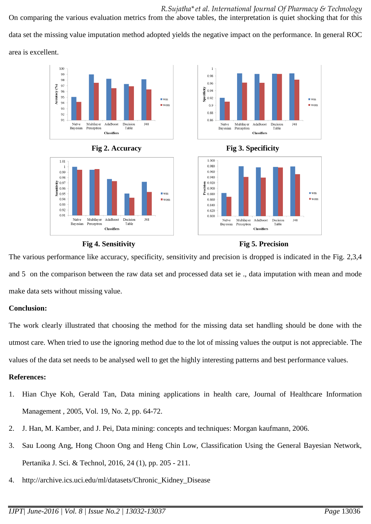*R.Sujatha\*et al. International Journal Of Pharmacy & Technology* On comparing the various evaluation metrics from the above tables, the interpretation is quiet shocking that for this data set the missing value imputation method adopted yields the negative impact on the performance. In general ROC area is excellent.

 $\overline{1}$ 

 $0.95$ 

 $0.96$ 

 $0.92$ 

 $0.9$ 

 $0.88$ 

 $0.86$ 

1.000

0.980

0.960

 $0.940$ 

 $0.920$ Precision  $0.900$ 

0.880

 $0.860$ 

 $0.840$ 

 $0.820$ 

0.800

Naïve

Bayesian

Multilayer

Perceptron

Naïve

Bayesian

Multilayer

Perceptron

AdaBoost

Classifiers

Decision

Table

Specificity  $0.94$ 









AdaBoost

Classifiers

Decision

Table

 $\blacksquare$  wm

 $\blacksquare$  wom

 $\blacksquare$  wm

 $\blacksquare$  won

 $J48$ 

**J48** 

The various performance like accuracy, specificity, sensitivity and precision is dropped is indicated in the Fig. 2,3,4 and 5 on the comparison between the raw data set and processed data set ie ., data imputation with mean and mode make data sets without missing value.

### **Conclusion:**

The work clearly illustrated that choosing the method for the missing data set handling should be done with the utmost care. When tried to use the ignoring method due to the lot of missing values the output is not appreciable. The values of the data set needs to be analysed well to get the highly interesting patterns and best performance values.

### **References:**

- 1. Hian Chye Koh, Gerald Tan, Data mining applications in health care, Journal of Healthcare Information Management , 2005, Vol. 19, No. 2, pp. 64-72.
- 2. J. Han, M. Kamber, and J. Pei, Data mining: concepts and techniques: Morgan kaufmann, 2006.
- 3. Sau Loong Ang, Hong Choon Ong and Heng Chin Low, Classification Using the General Bayesian Network, Pertanika J. Sci. & Technol, 2016, 24 (1), pp. 205 - 211.
- 4. http://archive.ics.uci.edu/ml/datasets/Chronic\_Kidney\_Disease